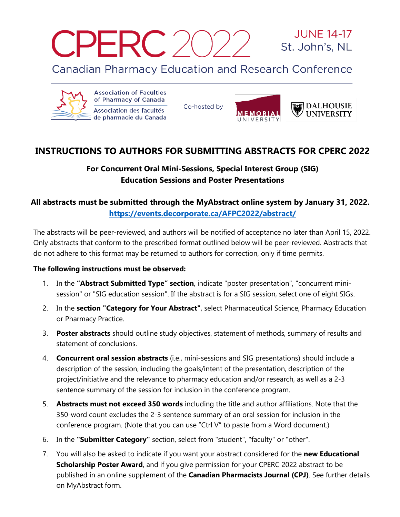CPERC 20

**JUNE 14-17** St. John's, NL

**Canadian Pharmacy Education and Research Conference** 



**Association of Faculties** of Pharmacy of Canada Association des facultés de pharmacie du Canada

Co-hosted by:



## **INSTRUCTIONS TO AUTHORS FOR SUBMITTING ABSTRACTS FOR CPERC 2022**

## **For Concurrent Oral Mini-Sessions, Special Interest Group (SIG) Education Sessions and Poster Presentations**

## **All abstracts must be submitted through the MyAbstract online system by January 31, 2022. <https://events.decorporate.ca/AFPC2022/abstract/>**

The abstracts will be peer-reviewed, and authors will be notified of acceptance no later than April 15, 2022. Only abstracts that conform to the prescribed format outlined below will be peer-reviewed. Abstracts that do not adhere to this format may be returned to authors for correction, only if time permits.

## **The following instructions must be observed:**

- 1. In the **"Abstract Submitted Type" section**, indicate "poster presentation", "concurrent minisession" or "SIG education session". If the abstract is for a SIG session, select one of eight SIGs.
- 2. In the **section "Category for Your Abstract"**, select Pharmaceutical Science, Pharmacy Education or Pharmacy Practice.
- 3. **Poster abstracts** should outline study objectives, statement of methods, summary of results and statement of conclusions.
- 4. **Concurrent oral session abstracts** (i.e., mini-sessions and SIG presentations) should include a description of the session, including the goals/intent of the presentation, description of the project/initiative and the relevance to pharmacy education and/or research, as well as a 2-3 sentence summary of the session for inclusion in the conference program.
- 5. **Abstracts must not exceed 350 words** including the title and author affiliations. Note that the 350-word count excludes the 2-3 sentence summary of an oral session for inclusion in the conference program. (Note that you can use "Ctrl V" to paste from a Word document.)
- 6. In the **"Submitter Category"** section, select from "student", "faculty" or "other".
- 7. You will also be asked to indicate if you want your abstract considered for the **new Educational Scholarship Poster Award**, and if you give permission for your CPERC 2022 abstract to be published in an online supplement of the **Canadian Pharmacists Journal (CPJ)**. See further details on MyAbstract form.